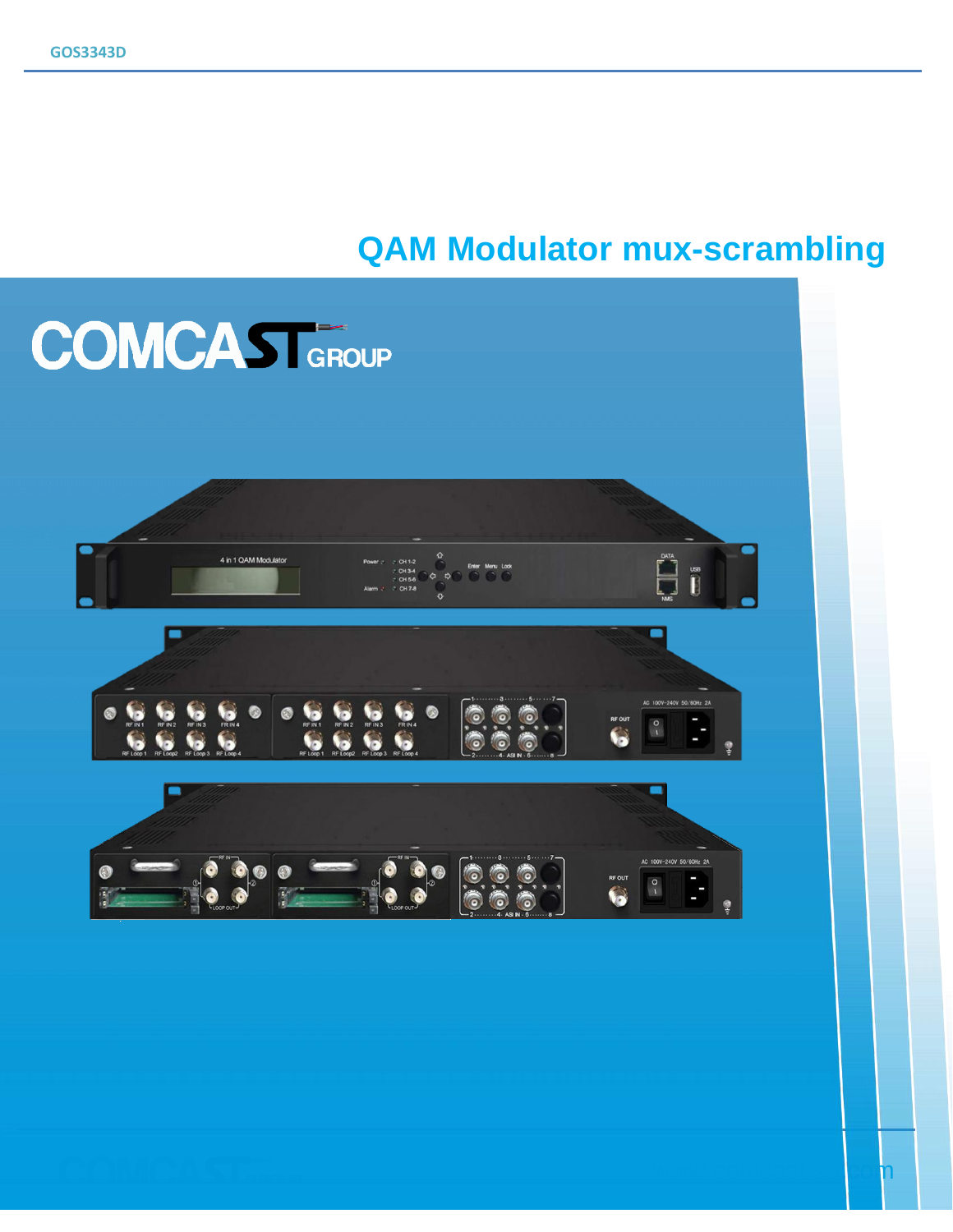# **QAM Modulator mux-scrambling**

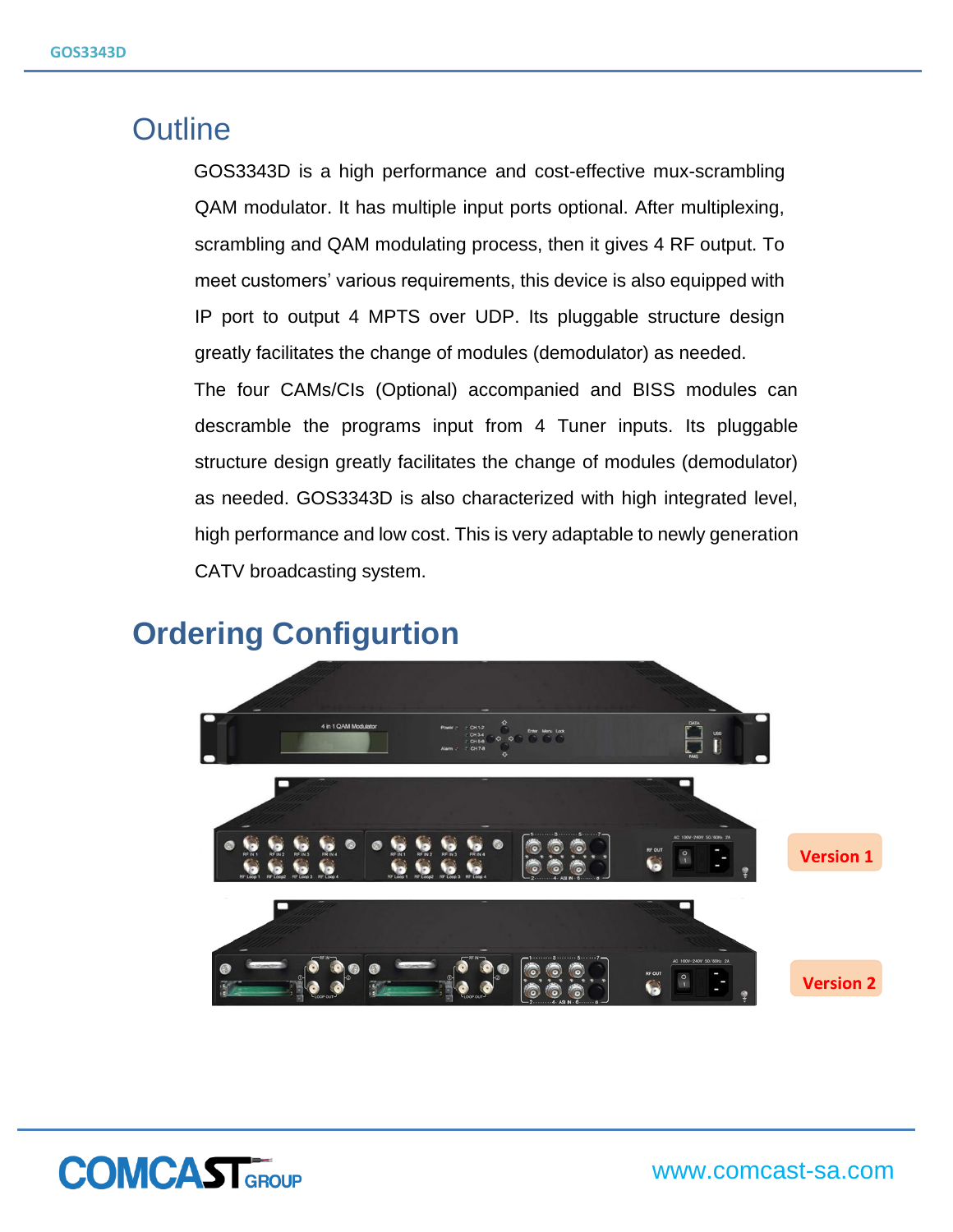# **Outline**

GOS3343D is a high performance and cost-effective mux-scrambling QAM modulator. It has multiple input ports optional. After multiplexing, scrambling and QAM modulating process, then it gives 4 RF output. To meet customers' various requirements, this device is also equipped with IP port to output 4 MPTS over UDP. Its pluggable structure design greatly facilitates the change of modules (demodulator) as needed.

The four CAMs/CIs (Optional) accompanied and BISS modules can descramble the programs input from 4 Tuner inputs. Its pluggable structure design greatly facilitates the change of modules (demodulator) as needed. GOS3343D is also characterized with high integrated level, high performance and low cost. This is very adaptable to newly generation CATV broadcasting system.

## **Ordering Configurtion**



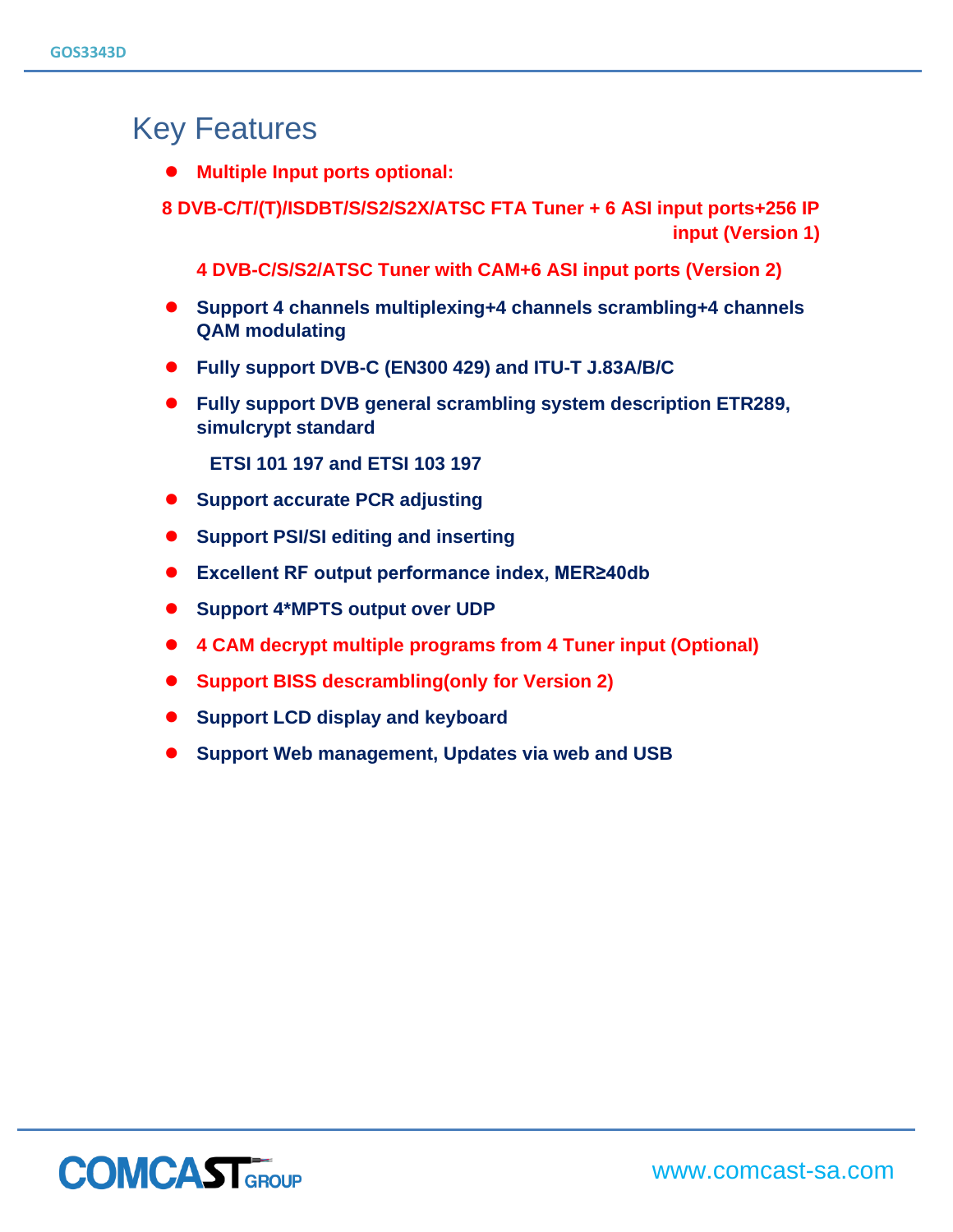# Key Features

- ⚫ **Multiple Input ports optional:**
- **8 DVB-C/T/(T)/ISDBT/S/S2/S2X/ATSC FTA Tuner + 6 ASI input ports+256 IP input (Version 1)**

**4 DVB-C/S/S2/ATSC Tuner with CAM+6 ASI input ports (Version 2)**

- ⚫ **Support 4 channels multiplexing+4 channels scrambling+4 channels QAM modulating**
- ⚫ **Fully support DVB-C (EN300 429) and ITU-T J.83A/B/C**
- ⚫ **Fully support DVB general scrambling system description ETR289, simulcrypt standard**

**ETSI 101 197 and ETSI 103 197**

- ⚫ **Support accurate PCR adjusting**
- ⚫ **Support PSI/SI editing and inserting**
- ⚫ **Excellent RF output performance index, MER≥40db**
- ⚫ **Support 4\*MPTS output over UDP**
- ⚫ **4 CAM decrypt multiple programs from 4 Tuner input (Optional)**
- ⚫ **Support BISS descrambling(only for Version 2)**
- ⚫ **Support LCD display and keyboard**
- ⚫ **Support Web management, Updates via web and USB**

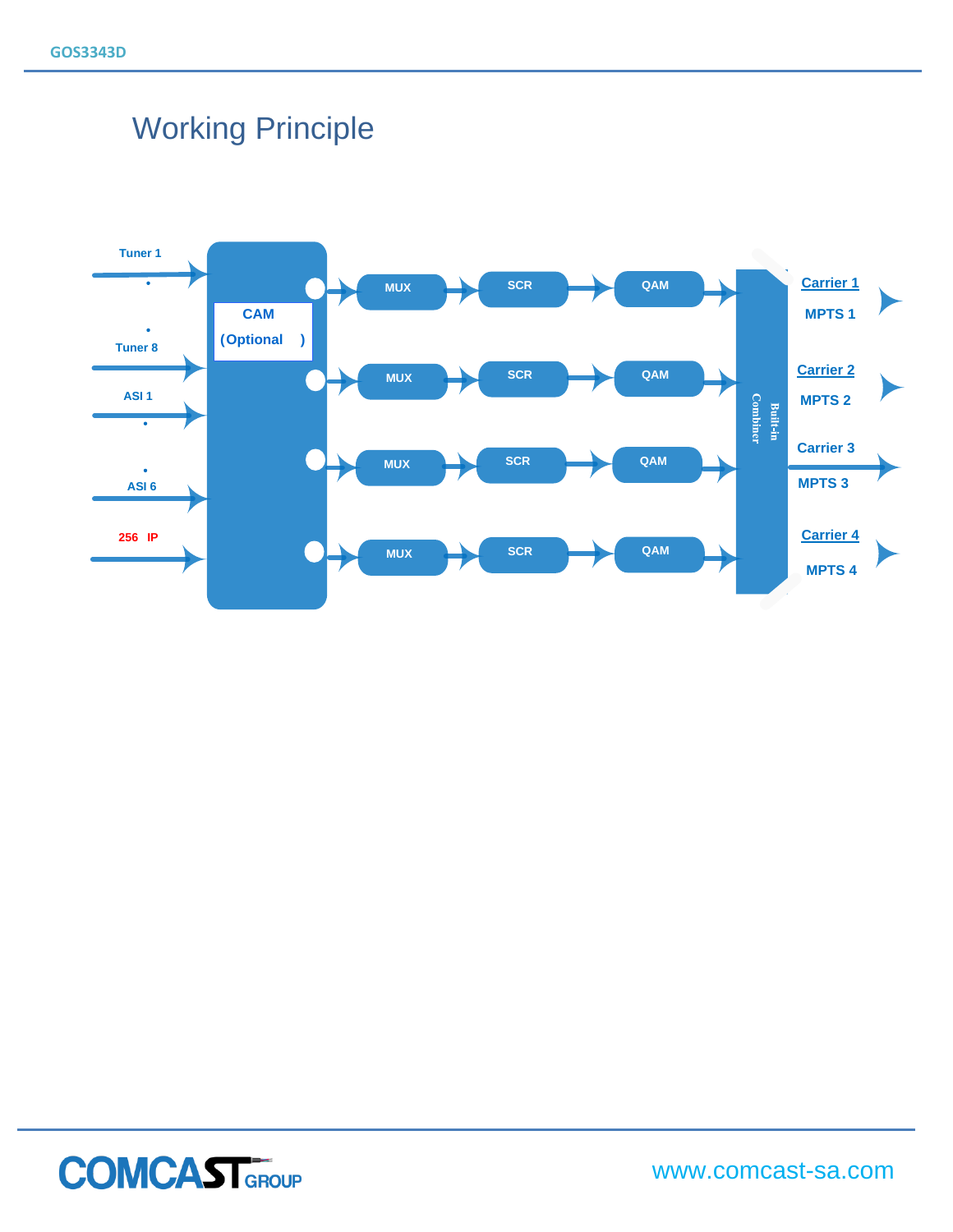# Working Principle





www.comcast-sa.com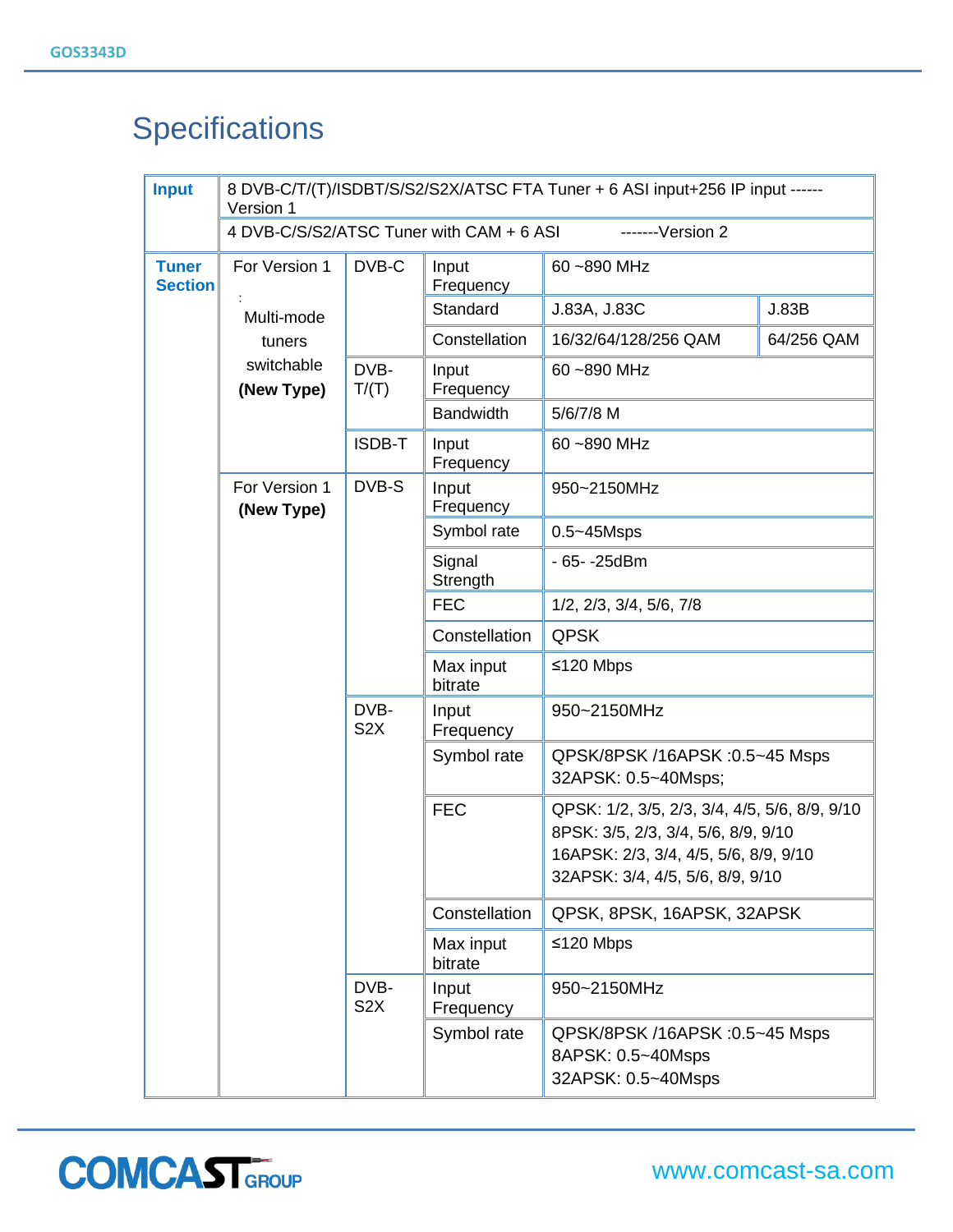# **Specifications**

| <b>Input</b>                   | 8 DVB-C/T/(T)/ISDBT/S/S2/S2X/ATSC FTA Tuner + 6 ASI input+256 IP input ------<br>Version 1 |                          |                      |                                                                                                                                                                   |       |  |  |  |
|--------------------------------|--------------------------------------------------------------------------------------------|--------------------------|----------------------|-------------------------------------------------------------------------------------------------------------------------------------------------------------------|-------|--|--|--|
|                                | 4 DVB-C/S/S2/ATSC Tuner with CAM + 6 ASI<br>$---Version 2$                                 |                          |                      |                                                                                                                                                                   |       |  |  |  |
| <b>Tuner</b><br><b>Section</b> | For Version 1<br>Multi-mode<br>tuners<br>switchable<br>(New Type)                          | DVB-C                    | Input<br>Frequency   | 60~890 MHz                                                                                                                                                        |       |  |  |  |
|                                |                                                                                            |                          | Standard             | J.83A, J.83C                                                                                                                                                      | J.83B |  |  |  |
|                                |                                                                                            |                          | Constellation        | 64/256 QAM<br>16/32/64/128/256 QAM                                                                                                                                |       |  |  |  |
|                                |                                                                                            | DVB-<br>T/(T)            | Input<br>Frequency   | 60~890 MHz                                                                                                                                                        |       |  |  |  |
|                                |                                                                                            |                          | <b>Bandwidth</b>     | 5/6/7/8 M                                                                                                                                                         |       |  |  |  |
|                                |                                                                                            | ISDB-T                   | Input<br>Frequency   | 60~890 MHz                                                                                                                                                        |       |  |  |  |
|                                | For Version 1<br>(New Type)                                                                | DVB-S                    | Input<br>Frequency   | 950~2150MHz                                                                                                                                                       |       |  |  |  |
|                                |                                                                                            |                          | Symbol rate          | $0.5 - 45$ Msps                                                                                                                                                   |       |  |  |  |
|                                |                                                                                            |                          | Signal<br>Strength   | - 65- - 25 dBm                                                                                                                                                    |       |  |  |  |
|                                |                                                                                            |                          | <b>FEC</b>           | 1/2, 2/3, 3/4, 5/6, 7/8                                                                                                                                           |       |  |  |  |
|                                |                                                                                            |                          | Constellation        | <b>QPSK</b>                                                                                                                                                       |       |  |  |  |
|                                |                                                                                            |                          | Max input<br>bitrate | ≤120 Mbps                                                                                                                                                         |       |  |  |  |
|                                |                                                                                            | DVB-<br>S <sub>2</sub> X | Input<br>Frequency   | 950~2150MHz                                                                                                                                                       |       |  |  |  |
|                                |                                                                                            |                          | Symbol rate          | QPSK/8PSK /16APSK : 0.5~45 Msps<br>32APSK: 0.5~40Msps;                                                                                                            |       |  |  |  |
|                                |                                                                                            |                          | <b>FEC</b>           | QPSK: 1/2, 3/5, 2/3, 3/4, 4/5, 5/6, 8/9, 9/10<br>8PSK: 3/5, 2/3, 3/4, 5/6, 8/9, 9/10<br>16APSK: 2/3, 3/4, 4/5, 5/6, 8/9, 9/10<br>32APSK: 3/4, 4/5, 5/6, 8/9, 9/10 |       |  |  |  |
|                                |                                                                                            |                          | Constellation        | QPSK, 8PSK, 16APSK, 32APSK                                                                                                                                        |       |  |  |  |
|                                |                                                                                            |                          | Max input<br>bitrate | ≤120 Mbps                                                                                                                                                         |       |  |  |  |
|                                |                                                                                            | DVB-<br>S <sub>2</sub> X | Input<br>Frequency   | 950~2150MHz                                                                                                                                                       |       |  |  |  |
|                                |                                                                                            |                          | Symbol rate          | QPSK/8PSK /16APSK : 0.5~45 Msps<br>8APSK: 0.5~40Msps<br>32APSK: 0.5~40Msps                                                                                        |       |  |  |  |

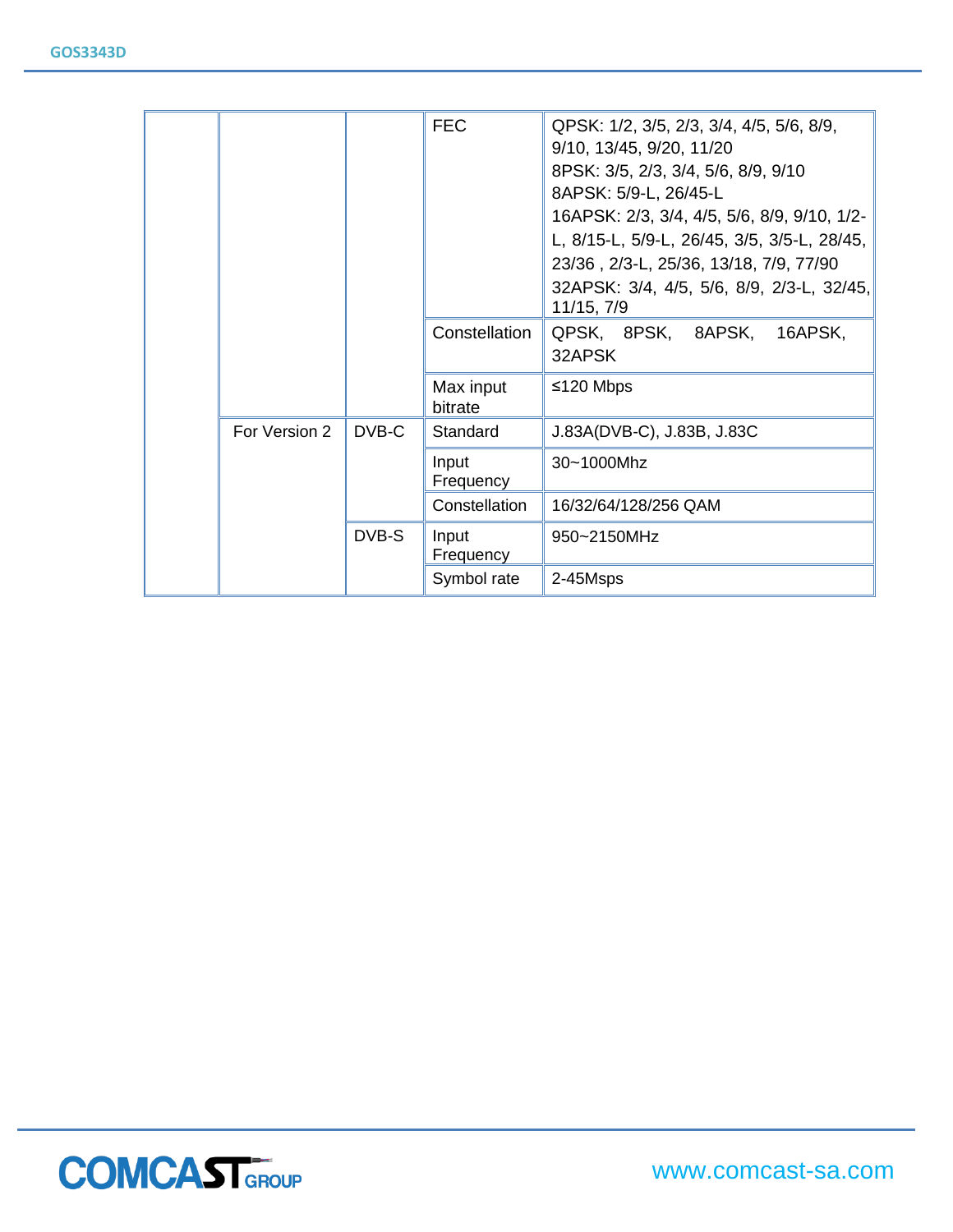|  |               |       | <b>FEC</b><br>Constellation | QPSK: 1/2, 3/5, 2/3, 3/4, 4/5, 5/6, 8/9,<br>9/10, 13/45, 9/20, 11/20<br>8PSK: 3/5, 2/3, 3/4, 5/6, 8/9, 9/10<br>8APSK: 5/9-L, 26/45-L<br>16APSK: 2/3, 3/4, 4/5, 5/6, 8/9, 9/10, 1/2-<br>L, 8/15-L, 5/9-L, 26/45, 3/5, 3/5-L, 28/45,<br>23/36, 2/3-L, 25/36, 13/18, 7/9, 77/90<br>32APSK: 3/4, 4/5, 5/6, 8/9, 2/3-L, 32/45,<br>11/15, 7/9<br>QPSK, 8PSK, 8APSK,<br>16APSK, |  |  |
|--|---------------|-------|-----------------------------|--------------------------------------------------------------------------------------------------------------------------------------------------------------------------------------------------------------------------------------------------------------------------------------------------------------------------------------------------------------------------|--|--|
|  |               |       |                             | 32APSK                                                                                                                                                                                                                                                                                                                                                                   |  |  |
|  |               |       | Max input<br>bitrate        | ≤120 Mbps                                                                                                                                                                                                                                                                                                                                                                |  |  |
|  | For Version 2 | DVB-C | Standard                    | J.83A(DVB-C), J.83B, J.83C                                                                                                                                                                                                                                                                                                                                               |  |  |
|  |               |       | Input<br>Frequency          | 30~1000Mhz                                                                                                                                                                                                                                                                                                                                                               |  |  |
|  |               |       | Constellation               | 16/32/64/128/256 QAM                                                                                                                                                                                                                                                                                                                                                     |  |  |
|  |               | DVB-S | Input<br>Frequency          | 950~2150MHz                                                                                                                                                                                                                                                                                                                                                              |  |  |
|  |               |       | Symbol rate                 | 2-45Msps                                                                                                                                                                                                                                                                                                                                                                 |  |  |

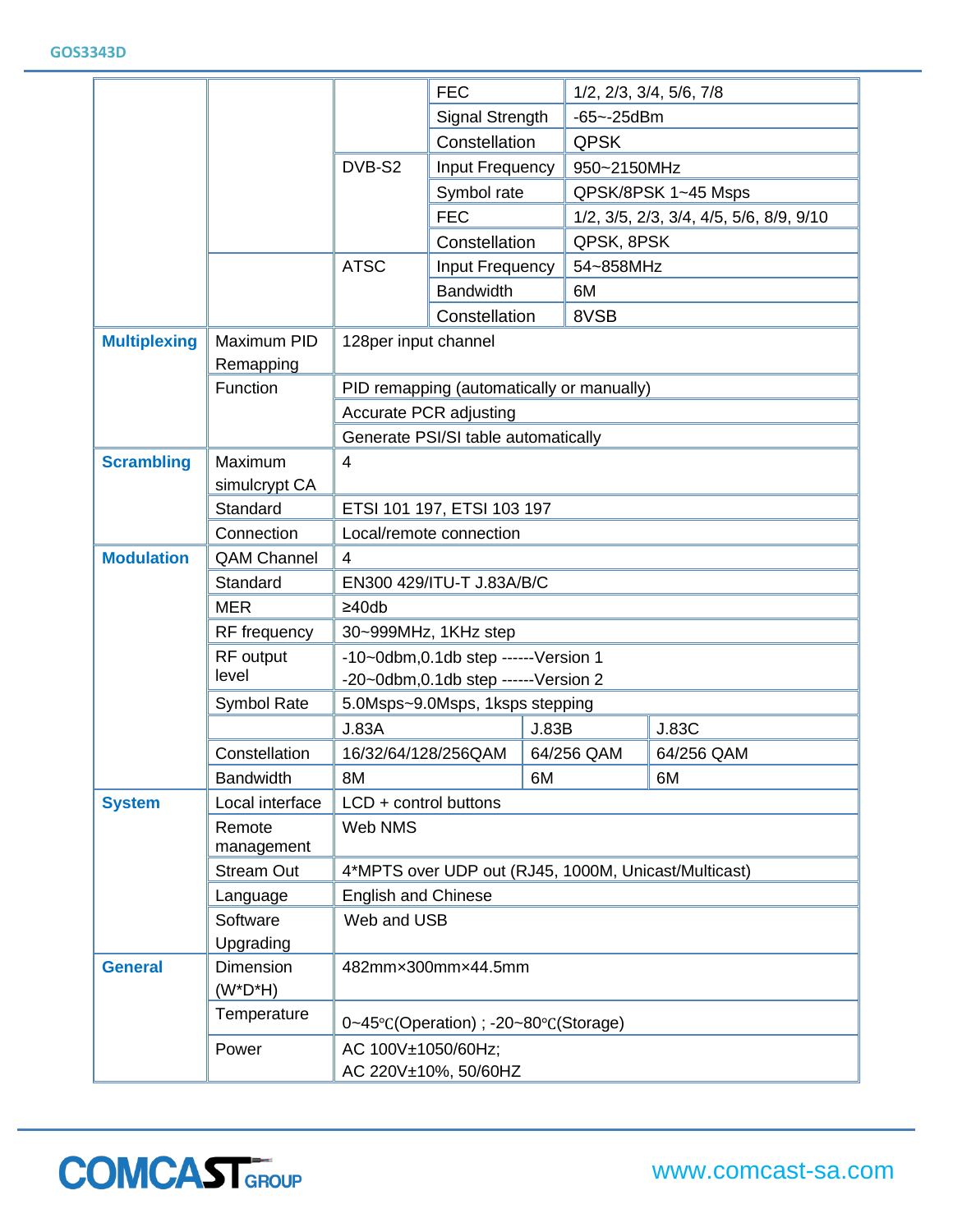|                     |                                 | <b>FEC</b>                                                 |                  |       | 1/2, 2/3, 3/4, 5/6, 7/8                 |              |  |  |
|---------------------|---------------------------------|------------------------------------------------------------|------------------|-------|-----------------------------------------|--------------|--|--|
|                     |                                 |                                                            | Signal Strength  |       | $-65 - -25$ dBm                         |              |  |  |
|                     |                                 |                                                            | Constellation    |       | <b>QPSK</b>                             |              |  |  |
|                     |                                 | DVB-S2                                                     | Input Frequency  |       | 950~2150MHz                             |              |  |  |
|                     |                                 |                                                            | Symbol rate      |       | QPSK/8PSK 1~45 Msps                     |              |  |  |
|                     |                                 |                                                            | <b>FEC</b>       |       | 1/2, 3/5, 2/3, 3/4, 4/5, 5/6, 8/9, 9/10 |              |  |  |
|                     |                                 |                                                            | Constellation    |       | QPSK, 8PSK                              |              |  |  |
|                     |                                 | <b>ATSC</b>                                                | Input Frequency  |       | 54~858MHz                               |              |  |  |
|                     |                                 |                                                            | <b>Bandwidth</b> |       | 6M                                      |              |  |  |
|                     |                                 |                                                            | Constellation    |       | 8VSB                                    |              |  |  |
| <b>Multiplexing</b> | Maximum PID                     | 128per input channel                                       |                  |       |                                         |              |  |  |
|                     | Remapping                       |                                                            |                  |       |                                         |              |  |  |
|                     | Function                        | PID remapping (automatically or manually)                  |                  |       |                                         |              |  |  |
|                     |                                 | <b>Accurate PCR adjusting</b>                              |                  |       |                                         |              |  |  |
|                     |                                 | Generate PSI/SI table automatically                        |                  |       |                                         |              |  |  |
| <b>Scrambling</b>   | Maximum                         | 4                                                          |                  |       |                                         |              |  |  |
|                     | simulcrypt CA                   |                                                            |                  |       |                                         |              |  |  |
|                     | Standard                        | ETSI 101 197, ETSI 103 197                                 |                  |       |                                         |              |  |  |
|                     | Connection                      | Local/remote connection                                    |                  |       |                                         |              |  |  |
| <b>Modulation</b>   | <b>QAM Channel</b>              | $\overline{4}$                                             |                  |       |                                         |              |  |  |
|                     | Standard                        | EN300 429/ITU-T J.83A/B/C                                  |                  |       |                                         |              |  |  |
|                     | <b>MER</b>                      | $\geq 40$ db                                               |                  |       |                                         |              |  |  |
|                     | RF frequency                    | 30~999MHz, 1KHz step                                       |                  |       |                                         |              |  |  |
|                     | RF output                       | -10~0dbm, 0.1db step ------ Version 1                      |                  |       |                                         |              |  |  |
|                     | level                           | -20~0dbm, 0.1db step ------Version 2                       |                  |       |                                         |              |  |  |
|                     | Symbol Rate                     | 5.0Msps~9.0Msps, 1ksps stepping                            |                  |       |                                         |              |  |  |
|                     |                                 | <b>J.83A</b>                                               |                  | J.83B |                                         | <b>J.83C</b> |  |  |
|                     | Constellation                   | 16/32/64/128/256QAM                                        |                  |       | 64/256 QAM                              | 64/256 QAM   |  |  |
|                     | <b>Bandwidth</b>                | 8M                                                         |                  | 6M    |                                         | 6M           |  |  |
| <b>System</b>       | Local interface                 | LCD + control buttons                                      |                  |       |                                         |              |  |  |
|                     | Remote<br>management            | Web NMS                                                    |                  |       |                                         |              |  |  |
|                     | <b>Stream Out</b>               | 4*MPTS over UDP out (RJ45, 1000M, Unicast/Multicast)       |                  |       |                                         |              |  |  |
|                     | Language                        | <b>English and Chinese</b>                                 |                  |       |                                         |              |  |  |
|                     | Software                        | Web and USB                                                |                  |       |                                         |              |  |  |
|                     | Upgrading                       |                                                            |                  |       |                                         |              |  |  |
| <b>General</b>      | <b>Dimension</b><br>$(W^*D^*H)$ | 482mmx300mmx44.5mm                                         |                  |       |                                         |              |  |  |
|                     | Temperature                     | $0-45^{\circ}$ C(Operation) ; -20~80 $^{\circ}$ C(Storage) |                  |       |                                         |              |  |  |
|                     | Power                           | AC 100V±1050/60Hz;                                         |                  |       |                                         |              |  |  |
|                     |                                 | AC 220V±10%, 50/60HZ                                       |                  |       |                                         |              |  |  |